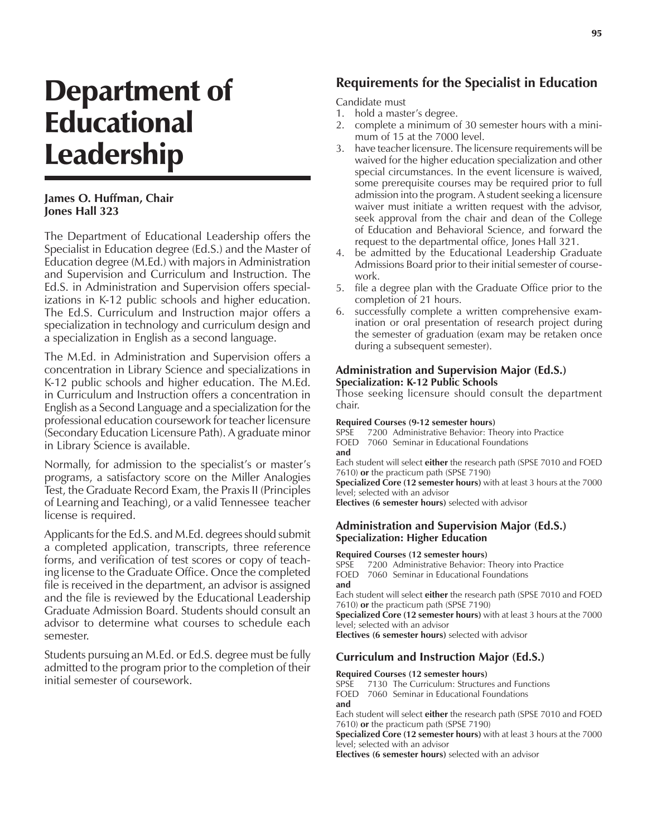# Department of Educational Leadership

# **James O. Huffman, Chair Jones Hall 323**

The Department of Educational Leadership offers the Specialist in Education degree (Ed.S.) and the Master of Education degree (M.Ed.) with majors in Administration and Supervision and Curriculum and Instruction. The Ed.S. in Administration and Supervision offers specializations in K-12 public schools and higher education. The Ed.S. Curriculum and Instruction major offers a specialization in technology and curriculum design and a specialization in English as a second language.

The M.Ed. in Administration and Supervision offers a concentration in Library Science and specializations in K-12 public schools and higher education. The M.Ed. in Curriculum and Instruction offers a concentration in English as a Second Language and a specialization for the professional education coursework for teacher licensure (Secondary Education Licensure Path). A graduate minor in Library Science is available.

Normally, for admission to the specialist's or master's programs, a satisfactory score on the Miller Analogies Test, the Graduate Record Exam, the Praxis II (Principles of Learning and Teaching), or a valid Tennessee teacher license is required.

Applicants for the Ed.S. and M.Ed. degrees should submit a completed application, transcripts, three reference forms, and verification of test scores or copy of teaching license to the Graduate Office. Once the completed file is received in the department, an advisor is assigned and the file is reviewed by the Educational Leadership Graduate Admission Board. Students should consult an advisor to determine what courses to schedule each semester.

Students pursuing an M.Ed. or Ed.S. degree must be fully admitted to the program prior to the completion of their initial semester of coursework.

# **Requirements for the Specialist in Education**

Candidate must

- 1. hold a master's degree.
- 2. complete a minimum of 30 semester hours with a minimum of 15 at the 7000 level.
- 3. have teacher licensure. The licensure requirements will be waived for the higher education specialization and other special circumstances. In the event licensure is waived, some prerequisite courses may be required prior to full admission into the program. A student seeking a licensure waiver must initiate a written request with the advisor, seek approval from the chair and dean of the College of Education and Behavioral Science, and forward the request to the departmental office, Jones Hall 321.
- 4. be admitted by the Educational Leadership Graduate Admissions Board prior to their initial semester of coursework.
- 5. file a degree plan with the Graduate Office prior to the completion of 21 hours.
- 6. successfully complete a written comprehensive examination or oral presentation of research project during the semester of graduation (exam may be retaken once during a subsequent semester).

# **Administration and Supervision Major (Ed.S.) Specialization: K-12 Public Schools**

Those seeking licensure should consult the department chair.

#### **Required Courses (9-12 semester hours)**

SPSE 7200 Administrative Behavior: Theory into Practice FOED 7060 Seminar in Educational Foundations **and**

Each student will select **either** the research path (SPSE 7010 and FOED 7610) **or** the practicum path (SPSE 7190)

**Specialized Core (12 semester hours)** with at least 3 hours at the 7000 level; selected with an advisor

**Electives (6 semester hours)** selected with advisor

# **Administration and Supervision Major (Ed.S.) Specialization: Higher Education**

#### **Required Courses (12 semester hours)**

SPSE 7200 Administrative Behavior: Theory into Practice FOED 7060 Seminar in Educational Foundations **and**

Each student will select **either** the research path (SPSE 7010 and FOED 7610) **or** the practicum path (SPSE 7190)

**Specialized Core (12 semester hours)** with at least 3 hours at the 7000 level; selected with an advisor

**Electives (6 semester hours)** selected with advisor

# **Curriculum and Instruction Major (Ed.S.)**

# **Required Courses (12 semester hours)**

7130 The Curriculum: Structures and Functions FOED 7060 Seminar in Educational Foundations **and**

Each student will select **either** the research path (SPSE 7010 and FOED 7610) **or** the practicum path (SPSE 7190)

**Specialized Core (12 semester hours)** with at least 3 hours at the 7000 level; selected with an advisor

**Electives (6 semester hours)** selected with an advisor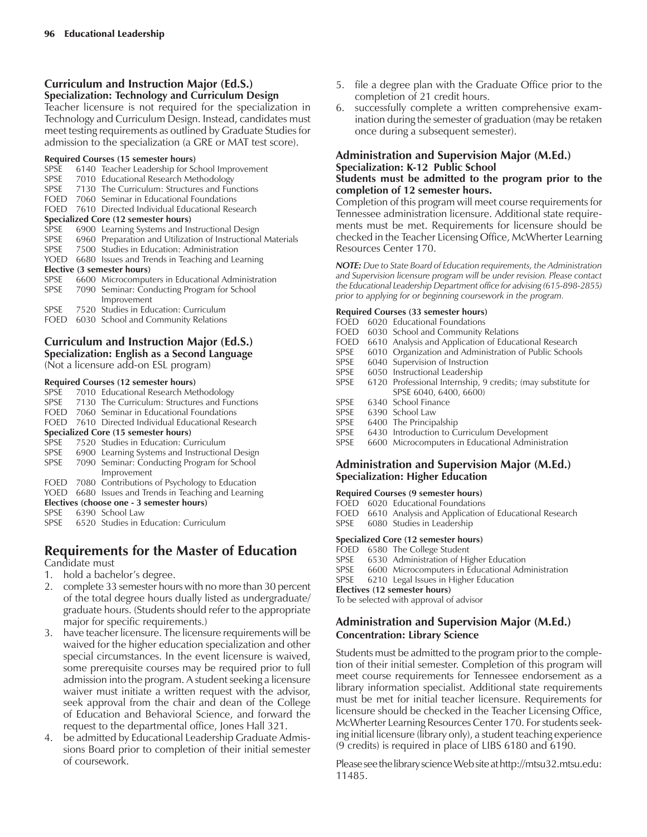# **Curriculum and Instruction Major (Ed.S.) Specialization: Technology and Curriculum Design**

Teacher licensure is not required for the specialization in Technology and Curriculum Design. Instead, candidates must meet testing requirements as outlined by Graduate Studies for admission to the specialization (a GRE or MAT test score).

#### **Required Courses (15 semester hours)**

- SPSE 6140 Teacher Leadership for School Improvement<br>SPSE 7010 Educational Research Methodology 7010 Educational Research Methodology
- SPSE 7130 The Curriculum: Structures and Functions
- FOED 7060 Seminar in Educational Foundations
- FOED 7610 Directed Individual Educational Research

- **Specialized Core (12 semester hours)** 6900 Learning Systems and Instructional Design
- SPSE 6960 Preparation and Utilization of Instructional Materials
- SPSE 7500 Studies in Education: Administration
- YOED 6680 Issues and Trends in Teaching and Learning

# **Elective (3 semester hours)**

| SPSE | 6600 Microcomputers in Educational Administration |
|------|---------------------------------------------------|
|      | SPSE 7090 Seminar: Conducting Program for School  |
|      | Improvement                                       |
|      | SPSE 7520 Studies in Education: Curriculum        |
|      | $F \cap F \cap G \cap G \cap G = I \cap G$        |

FOED 6030 School and Community Relations

# **Curriculum and Instruction Major (Ed.S.) Specialization: English as a Second Language**

(Not a licensure add-on ESL program)

# **Required Courses (12 semester hours)**

- SPSE 7010 Educational Research Methodology<br>SPSE 7130 The Curriculum: Structures and Fun 7130 The Curriculum: Structures and Functions
- FOED 7060 Seminar in Educational Foundations
- FOED 7610 Directed Individual Educational Research

# **Specialized Core (15 semester hours)**

- 
- SPSE 7520 Studies in Education: Curriculum<br>SPSE 6900 Learning Systems and Instructiona 6900 Learning Systems and Instructional Design SPSE 7090 Seminar: Conducting Program for School
- Improvement
- FOED 7080 Contributions of Psychology to Education
- YOED 6680 Issues and Trends in Teaching and Learning **Electives (choose one - 3 semester hours)**
- 
- SPSE 6390 School Law<br>SPSE 6520 Studies in E 6520 Studies in Education: Curriculum

# **Requirements for the Master of Education**

- Candidate must
- 1. hold a bachelor's degree.
- 2. complete 33 semester hours with no more than 30 percent of the total degree hours dually listed as undergraduate/ graduate hours. (Students should refer to the appropriate major for specific requirements.)
- 3. have teacher licensure. The licensure requirements will be waived for the higher education specialization and other special circumstances. In the event licensure is waived, some prerequisite courses may be required prior to full admission into the program. A student seeking a licensure waiver must initiate a written request with the advisor, seek approval from the chair and dean of the College of Education and Behavioral Science, and forward the request to the departmental office, Jones Hall 321.
- 4. be admitted by Educational Leadership Graduate Admissions Board prior to completion of their initial semester of coursework.
- 5. file a degree plan with the Graduate Office prior to the completion of 21 credit hours.
- 6. successfully complete a written comprehensive examination during the semester of graduation (may be retaken once during a subsequent semester).

# **Administration and Supervision Major (M.Ed.) Specialization: K-12 Public School**

# **Students must be admitted to the program prior to the completion of 12 semester hours.**

Completion of this program will meet course requirements for Tennessee administration licensure. Additional state requirements must be met. Requirements for licensure should be checked in the Teacher Licensing Office, McWherter Learning Resources Center 170.

*NOTE: Due to State Board of Education requirements, the Administration and Supervision licensure program will be under revision. Please contact the Educational Leadership Department office for advising (615-898-2855) prior to applying for or beginning coursework in the program.*

# **Required Courses (33 semester hours)**

- FOED 6020 Educational Foundations
- FOED 6030 School and Community Relations
- FOED 6610 Analysis and Application of Educational Research
- SPSE 6010 Organization and Administration of Public Schools
- SPSE 6040 Supervision of Instruction<br>SPSE 6050 Instructional Leadership
- 6050 Instructional Leadership
- SPSE 6120 Professional Internship, 9 credits; (may substitute for SPSE 6040, 6400, 6600)<br>SPSE 6340 School Finance
- 6340 School Finance
- SPSE 6390 School Law
- SPSE 6400 The Principalship<br>SPSE 6430 Introduction to Cu
- 6430 Introduction to Curriculum Development
- SPSE 6600 Microcomputers in Educational Administration

# **Administration and Supervision Major (M.Ed.) Specialization: Higher Education**

#### **Required Courses (9 semester hours)**

- FOED 6020 Educational Foundations
- FOED 6610 Analysis and Application of Educational Research
- SPSE 6080 Studies in Leadership

# **Specialized Core (12 semester hours)**

- FOED 6580 The College Student
- SPSE 6530 Administration of Higher Education<br>SPSE 6600 Microcomputers in Educational Adr
- SPSE 6600 Microcomputers in Educational Administration<br>SPSE 6210 Legal Issues in Higher Education

# 6210 Legal Issues in Higher Education

**Electives (12 semester hours)** To be selected with approval of advisor

# **Administration and Supervision Major (M.Ed.) Concentration: Library Science**

Students must be admitted to the program prior to the completion of their initial semester. Completion of this program will meet course requirements for Tennessee endorsement as a library information specialist. Additional state requirements must be met for initial teacher licensure. Requirements for licensure should be checked in the Teacher Licensing Office, McWherter Learning Resources Center 170. For students seeking initial licensure (library only), a student teaching experience (9 credits) is required in place of LIBS 6180 and 6190.

Please see the library science Web site at http://mtsu32.mtsu.edu: 11485.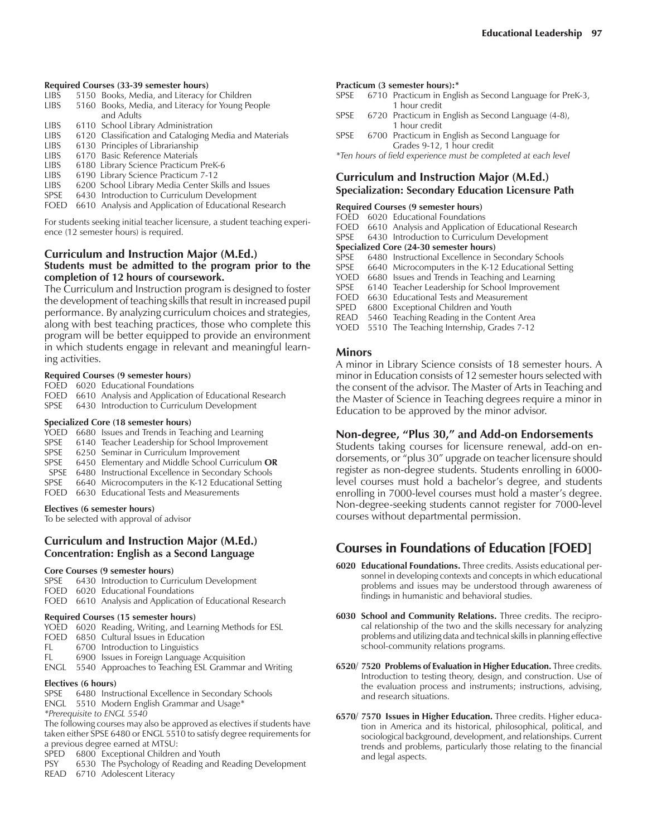#### **Required Courses (33-39 semester hours)**

- LIBS 5150 Books, Media, and Literacy for Children
- LIBS 5160 Books, Media, and Literacy for Young People and Adults
- LIBS 6110 School Library Administration
- LIBS 6120 Classification and Cataloging Media and Materials
- 6130 Principles of Librarianship
- LIBS 6170 Basic Reference Materials
- LIBS 6180 Library Science Practicum PreK-6 6190 Library Science Practicum 7-12
- 
- LIBS 6200 School Library Media Center Skills and Issues SPSE 6430 Introduction to Curriculum Development
- FOED 6610 Analysis and Application of Educational Research

For students seeking initial teacher licensure, a student teaching experience (12 semester hours) is required.

## **Curriculum and Instruction Major (M.Ed.) Students must be admitted to the program prior to the completion of 12 hours of coursework.**

The Curriculum and Instruction program is designed to foster the development of teaching skills that result in increased pupil performance. By analyzing curriculum choices and strategies, along with best teaching practices, those who complete this program will be better equipped to provide an environment in which students engage in relevant and meaningful learning activities.

#### **Required Courses (9 semester hours)**

- FOED 6020 Educational Foundations
- FOED 6610 Analysis and Application of Educational Research
- SPSE 6430 Introduction to Curriculum Development

#### **Specialized Core (18 semester hours)**

- YOED 6680 Issues and Trends in Teaching and Learning
- SPSE 6140 Teacher Leadership for School Improvement<br>SPSE 6250 Seminar in Curriculum Improvement
- 6250 Seminar in Curriculum Improvement
- SPSE 6450 Elementary and Middle School Curriculum **OR**
- SPSE 6480 Instructional Excellence in Secondary Schools
- SPSE 6640 Microcomputers in the K-12 Educational Setting
- FOED 6630 Educational Tests and Measurements

#### **Electives (6 semester hours)**

To be selected with approval of advisor

# **Curriculum and Instruction Major (M.Ed.) Concentration: English as a Second Language**

# **Core Courses (9 semester hours)**

- 6430 Introduction to Curriculum Development
- FOED 6020 Educational Foundations
- FOED 6610 Analysis and Application of Educational Research

# **Required Courses (15 semester hours)**

- YOED 6020 Reading, Writing, and Learning Methods for ESL
- FOED 6850 Cultural Issues in Education
- FL 6700 Introduction to Linguistics
- FL 6900 Issues in Foreign Language Acquisition
- ENGL 5540 Approaches to Teaching ESL Grammar and Writing

# **Electives (6 hours)**

SPSE 6480 Instructional Excellence in Secondary Schools

- ENGL 5510 Modern English Grammar and Usage\*
- *\*Prerequisite to ENGL 5540*

The following courses may also be approved as electives if students have taken either SPSE 6480 or ENGL 5510 to satisfy degree requirements for

- a previous degree earned at MTSU: 6800 Exceptional Children and Youth
- PSY 6530 The Psychology of Reading and Reading Development
- READ 6710 Adolescent Literacy

# **Practicum (3 semester hours):\***

- SPSE 6710 Practicum in English as Second Language for PreK-3, 1 hour credit<br>SPSE 6720 Practicum in
- 6720 Practicum in English as Second Language (4-8), 1 hour credit
- SPSE 6700 Practicum in English as Second Language for Grades 9-12, 1 hour credit

*\*Ten hours of field experience must be completed at each level*

# **Curriculum and Instruction Major (M.Ed.) Specialization: Secondary Education Licensure Path**

# **Required Courses (9 semester hours)**

FOED 6020 Educational Foundations

- FOED 6610 Analysis and Application of Educational Research<br>SPSE 6430 Introduction to Curriculum Development
- 6430 Introduction to Curriculum Development

# **Specialized Core (24-30 semester hours)**

- SPSE 6480 Instructional Excellence in Secondary Schools<br>SPSE 6640 Microcomputers in the K-12 Educational Setti
- 6640 Microcomputers in the K-12 Educational Setting
- YOED 6680 Issues and Trends in Teaching and Learning
- SPSE 6140 Teacher Leadership for School Improvement<br>FOED 6630 Educational Tests and Measurement
- 6630 Educational Tests and Measurement
- SPED 6800 Exceptional Children and Youth
- READ 5460 Teaching Reading in the Content Area
- YOED 5510 The Teaching Internship, Grades 7-12

#### **Minors**

A minor in Library Science consists of 18 semester hours. A minor in Education consists of 12 semester hours selected with the consent of the advisor. The Master of Arts in Teaching and the Master of Science in Teaching degrees require a minor in Education to be approved by the minor advisor.

# **Non-degree, "Plus 30," and Add-on Endorsements**

Students taking courses for licensure renewal, add-on endorsements, or "plus 30" upgrade on teacher licensure should register as non-degree students. Students enrolling in 6000 level courses must hold a bachelor's degree, and students enrolling in 7000-level courses must hold a master's degree. Non-degree-seeking students cannot register for 7000-level courses without departmental permission.

# **Courses in Foundations of Education [FOED]**

- **6020 Educational Foundations.** Three credits. Assists educational personnel in developing contexts and concepts in which educational problems and issues may be understood through awareness of findings in humanistic and behavioral studies.
- **6030 School and Community Relations.** Three credits. The reciprocal relationship of the two and the skills necessary for analyzing problems and utilizing data and technical skills in planning effective school-community relations programs.
- **6520/ 7520 Problems of Evaluation in Higher Education.** Three credits. Introduction to testing theory, design, and construction. Use of the evaluation process and instruments; instructions, advising, and research situations.
- **6570/ 7570 Issues in Higher Education.** Three credits. Higher education in America and its historical, philosophical, political, and sociological background, development, and relationships. Current trends and problems, particularly those relating to the financial and legal aspects.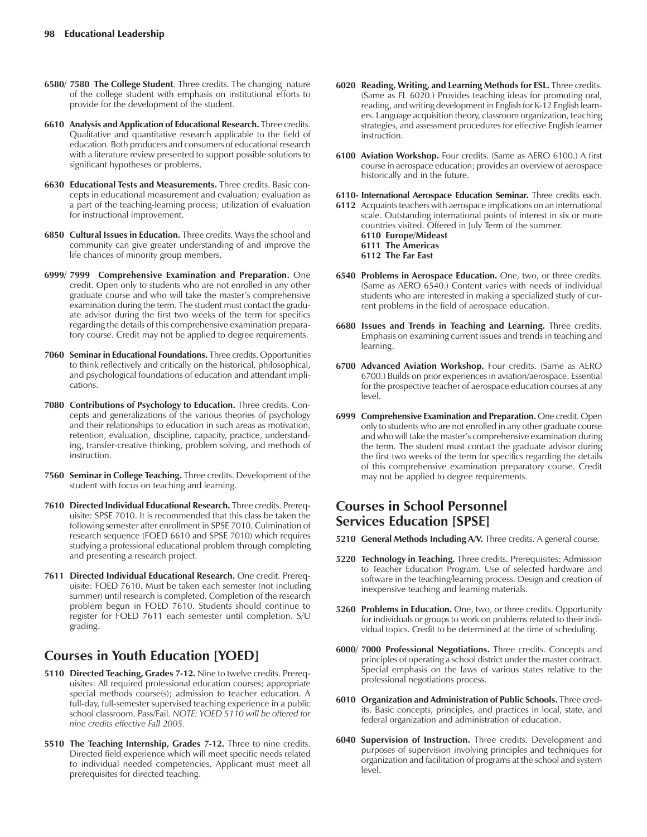- **6580/ 7580 The College Student**. Three credits. The changing nature of the college student with emphasis on institutional efforts to provide for the development of the student.
- **6610 Analysis and Application of Educational Research.** Three credits. Qualitative and quantitative research applicable to the field of education. Both producers and consumers of educational research with a literature review presented to support possible solutions to significant hypotheses or problems.
- **6630 Educational Tests and Measurements.** Three credits. Basic concepts in educational measurement and evaluation; evaluation as a part of the teaching-learning process; utilization of evaluation for instructional improvement.
- **6850 Cultural Issues in Education.** Three credits. Ways the school and community can give greater understanding of and improve the life chances of minority group members.
- **6999/ 7999 Comprehensive Examination and Preparation.** One credit. Open only to students who are not enrolled in any other graduate course and who will take the master's comprehensive examination during the term. The student must contact the graduate advisor during the first two weeks of the term for specifics regarding the details of this comprehensive examination preparatory course. Credit may not be applied to degree requirements.
- 7060 Seminar in Educational Foundations. Three credits. Opportunities to think reflectively and critically on the historical, philosophical, and psychological foundations of education and attendant implications.
- **7080 Contributions of Psychology to Education.** Three credits. Concepts and generalizations of the various theories of psychology and their relationships to education in such areas as motivation, retention, evaluation, discipline, capacity, practice, understanding, transfer-creative thinking, problem solving, and methods of instruction.
- **7560 Seminar in College Teaching.** Three credits. Development of the student with focus on teaching and learning.
- **7610 Directed Individual Educational Research.** Three credits. Prerequisite: SPSE 7010. It is recommended that this class be taken the following semester after enrollment in SPSE 7010. Culmination of research sequence (FOED 6610 and SPSE 7010) which requires studying a professional educational problem through completing and presenting a research project.
- **7611 Directed Individual Educational Research.** One credit. Prerequisite: FOED 7610. Must be taken each semester (not including summer) until research is completed. Completion of the research problem begun in FOED 7610. Students should continue to register for FOED 7611 each semester until completion. S/U grading.

# **Courses in Youth Education [YOED]**

- **5110 Directed Teaching, Grades 7-12.** Nine to twelve credits. Prerequisites: All required professional education courses; appropriate special methods course(s); admission to teacher education. A full-day, full-semester supervised teaching experience in a public school classroom. Pass/Fail. *NOTE: YOED 5110 will be offered for nine credits effective Fall 2005.*
- **5510 The Teaching Internship, Grades 7-12.** Three to nine credits. Directed field experience which will meet specific needs related to individual needed competencies. Applicant must meet all prerequisites for directed teaching.
- **6020 Reading, Writing, and Learning Methods for ESL.** Three credits. (Same as FL 6020.) Provides teaching ideas for promoting oral, reading, and writing development in English for K-12 English learners. Language acquisition theory, classroom organization, teaching strategies, and assessment procedures for effective English learner instruction.
- **6100 Aviation Workshop.** Four credits. (Same as AERO 6100.) A first course in aerospace education; provides an overview of aerospace historically and in the future.
- 6110- International Aerospace Education Seminar. Three credits each.
- **6112** Acquaints teachers with aerospace implications on an international scale. Outstanding international points of interest in six or more countries visited. Offered in July Term of the summer. **6110 Europe/Mideast 6111 The Americas 6112 The Far East**
- **6540 Problems in Aerospace Education.** One, two, or three credits. (Same as AERO 6540.) Content varies with needs of individual students who are interested in making a specialized study of current problems in the field of aerospace education.
- 6680 Issues and Trends in Teaching and Learning. Three credits. Emphasis on examining current issues and trends in teaching and learning.
- **6700 Advanced Aviation Workshop.** Four credits. (Same as AERO 6700.) Builds on prior experiences in aviation/aerospace. Essential for the prospective teacher of aerospace education courses at any level.
- **6999 Comprehensive Examination and Preparation.** One credit. Open only to students who are not enrolled in any other graduate course and who will take the master's comprehensive examination during the term. The student must contact the graduate advisor during the first two weeks of the term for specifics regarding the details of this comprehensive examination preparatory course. Credit may not be applied to degree requirements.

# **Courses in School Personnel Services Education [SPSE]**

- **5210 General Methods Including A/V.** Three credits. A general course.
- **5220 Technology in Teaching.** Three credits. Prerequisites: Admission to Teacher Education Program. Use of selected hardware and software in the teaching/learning process. Design and creation of inexpensive teaching and learning materials.
- **5260 Problems in Education.** One, two, or three credits. Opportunity for individuals or groups to work on problems related to their individual topics. Credit to be determined at the time of scheduling.
- **6000/ 7000 Professional Negotiations.** Three credits. Concepts and principles of operating a school district under the master contract. Special emphasis on the laws of various states relative to the professional negotiations process.
- **6010 Organization and Administration of Public Schools.** Three credits. Basic concepts, principles, and practices in local, state, and federal organization and administration of education.
- **6040 Supervision of Instruction.** Three credits. Development and purposes of supervision involving principles and techniques for organization and facilitation of programs at the school and system level.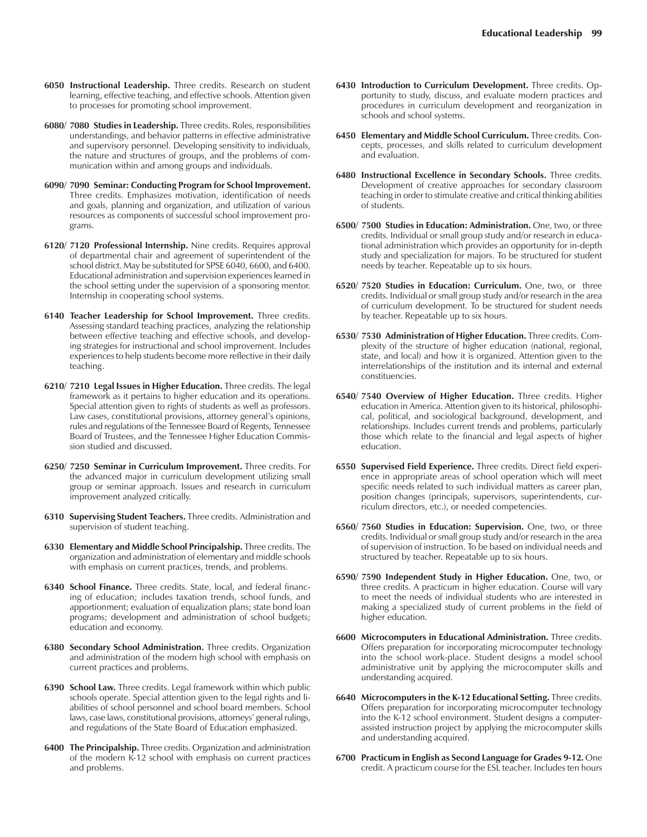- **6050 Instructional Leadership.** Three credits. Research on student learning, effective teaching, and effective schools. Attention given to processes for promoting school improvement.
- **6080/ 7080 Studies in Leadership.** Three credits. Roles, responsibilities understandings, and behavior patterns in effective administrative and supervisory personnel. Developing sensitivity to individuals, the nature and structures of groups, and the problems of communication within and among groups and individuals.
- **6090/ 7090 Seminar: Conducting Program for School Improvement.** Three credits. Emphasizes motivation, identification of needs and goals, planning and organization, and utilization of various resources as components of successful school improvement programs.
- **6120/ 7120 Professional Internship.** Nine credits. Requires approval of departmental chair and agreement of superintendent of the school district. May be substituted for SPSE 6040, 6600, and 6400. Educational administration and supervision experiences learned in the school setting under the supervision of a sponsoring mentor. Internship in cooperating school systems.
- **6140 Teacher Leadership for School Improvement.** Three credits. Assessing standard teaching practices, analyzing the relationship between effective teaching and effective schools, and developing strategies for instructional and school improvement. Includes experiences to help students become more reflective in their daily teaching.
- **6210/ 7210 Legal Issues in Higher Education.** Three credits. The legal framework as it pertains to higher education and its operations. Special attention given to rights of students as well as professors. Law cases, constitutional provisions, attorney general's opinions, rules and regulations of the Tennessee Board of Regents, Tennessee Board of Trustees, and the Tennessee Higher Education Commission studied and discussed.
- **6250/ 7250 Seminar in Curriculum Improvement.** Three credits. For the advanced major in curriculum development utilizing small group or seminar approach. Issues and research in curriculum improvement analyzed critically.
- **6310 Supervising Student Teachers.** Three credits. Administration and supervision of student teaching.
- **6330 Elementary and Middle School Principalship.** Three credits. The organization and administration of elementary and middle schools with emphasis on current practices, trends, and problems.
- **6340 School Finance.** Three credits. State, local, and federal financing of education; includes taxation trends, school funds, and apportionment; evaluation of equalization plans; state bond loan programs; development and administration of school budgets; education and economy.
- **6380 Secondary School Administration.** Three credits. Organization and administration of the modern high school with emphasis on current practices and problems.
- **6390 School Law.** Three credits. Legal framework within which public schools operate. Special attention given to the legal rights and liabilities of school personnel and school board members. School laws, case laws, constitutional provisions, attorneys' general rulings, and regulations of the State Board of Education emphasized.
- **6400 The Principalship.** Three credits. Organization and administration of the modern K-12 school with emphasis on current practices and problems.
- **6430 Introduction to Curriculum Development.** Three credits. Opportunity to study, discuss, and evaluate modern practices and procedures in curriculum development and reorganization in schools and school systems.
- **6450 Elementary and Middle School Curriculum.** Three credits. Concepts, processes, and skills related to curriculum development and evaluation.
- **6480 Instructional Excellence in Secondary Schools.** Three credits. Development of creative approaches for secondary classroom teaching in order to stimulate creative and critical thinking abilities of students.
- **6500/ 7500 Studies in Education: Administration.** One, two, or three credits. Individual or small group study and/or research in educational administration which provides an opportunity for in-depth study and specialization for majors. To be structured for student needs by teacher. Repeatable up to six hours.
- **6520/ 7520 Studies in Education: Curriculum.** One, two, or three credits. Individual or small group study and/or research in the area of curriculum development. To be structured for student needs by teacher. Repeatable up to six hours.
- **6530/ 7530 Administration of Higher Education.** Three credits. Complexity of the structure of higher education (national, regional, state, and local) and how it is organized. Attention given to the interrelationships of the institution and its internal and external constituencies.
- **6540/ 7540 Overview of Higher Education.** Three credits. Higher edu cation in America. Attention given to its historical, philosophical, political, and sociological background, development, and relationships. Includes current trends and problems, particularly those which relate to the financial and legal aspects of higher education.
- **6550 Supervised Field Experience.** Three credits. Direct field experience in appropriate areas of school operation which will meet specific needs related to such individual matters as career plan, position changes (principals, supervisors, superintendents, curriculum directors, etc.), or needed competencies.
- **6560/ 7560 Studies in Education: Supervision.** One, two, or three credits. Individual or small group study and/or research in the area of supervision of instruction. To be based on individual needs and structured by teacher. Repeatable up to six hours.
- **6590/ 7590 Independent Study in Higher Education.** One, two, or three credits. A practicum in higher education. Course will vary to meet the needs of individual students who are interested in making a specialized study of current problems in the field of higher education.
- **6600 Microcomputers in Educational Administration.** Three credits. Offers preparation for incorporating microcomputer technology into the school work-place. Student designs a model school administrative unit by applying the microcomputer skills and understanding acquired.
- **6640 Microcomputers in the K-12 Educational Setting.** Three credits. Offers preparation for incorporating microcomputer technology into the K-12 school environment. Student designs a computerassisted instruction project by applying the microcomputer skills and understanding acquired.
- **6700 Practicum in English as Second Language for Grades 9-12.** One credit. A practicum course for the ESL teacher. Includes ten hours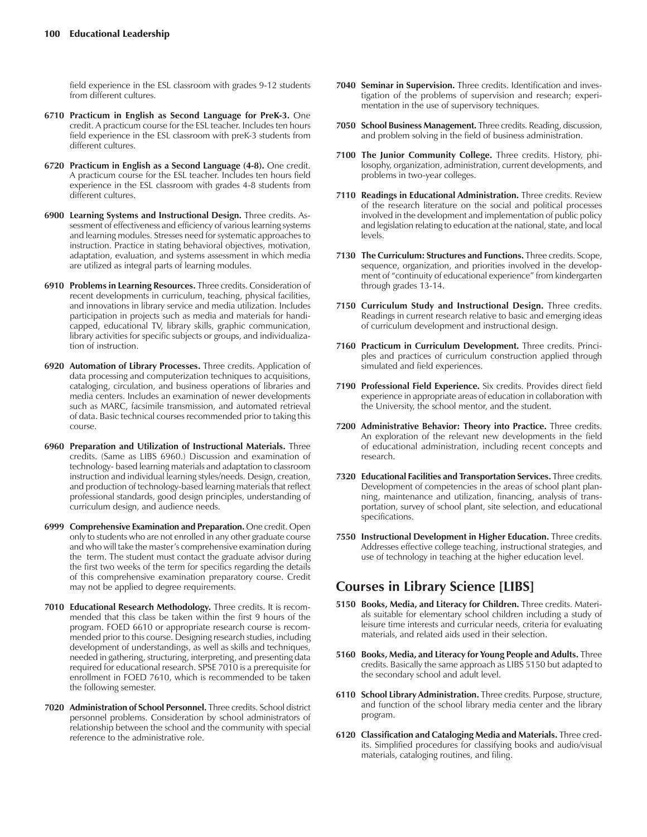field experience in the ESL classroom with grades 9-12 students from different cultures.

- **6710 Practicum in English as Second Language for PreK-3.** One credit. A practicum course for the ESL teacher. Includes ten hours field experience in the ESL classroom with preK-3 students from different cultures.
- **6720 Practicum in English as a Second Language (4-8).** One credit. A practicum course for the ESL teacher. Includes ten hours field experience in the ESL classroom with grades 4-8 students from different cultures.
- **6900 Learning Systems and Instructional Design.** Three credits. Assessment of effectiveness and efficiency of various learning systems and learning modules. Stresses need for systematic approaches to instruction. Practice in stating behavioral objectives, motivation, adaptation, evaluation, and systems assessment in which media are utilized as integral parts of learning modules.
- **6910 Problems in Learning Resources.** Three credits. Consideration of recent developments in curriculum, teaching, physical facilities, and innovations in library service and media utilization. Includes participation in projects such as media and materials for handicapped, educational TV, library skills, graphic communication, library activities for specific subjects or groups, and individualization of instruction.
- **6920 Automation of Library Processes.** Three credits. Application of data processing and computerization techniques to acquisitions, cataloging, circulation, and business operations of libraries and media centers. Includes an examination of newer developments such as MARC, facsimile transmission, and automated retrieval of data. Basic technical courses recommended prior to taking this course.
- **6960 Preparation and Utilization of Instructional Materials.** Three credits. (Same as LIBS 6960.) Discussion and examination of technology- based learning materials and adaptation to classroom instruction and individual learning styles/needs. Design, creation, and production of technology-based learning materials that reflect professional standards, good design principles, understanding of curriculum design, and audience needs.
- **6999 Comprehensive Examination and Preparation.** One credit. Open only to students who are not enrolled in any other graduate course and who will take the master's comprehensive examination during the term. The student must contact the graduate advisor during the first two weeks of the term for specifics regarding the details of this comprehensive examination preparatory course. Credit may not be applied to degree requirements.
- **7010 Educational Research Methodology.** Three credits. It is recommended that this class be taken within the first 9 hours of the program. FOED 6610 or appropriate research course is recommended prior to this course. Designing research studies, including development of understandings, as well as skills and techniques, needed in gathering, structuring, interpreting, and presenting data required for educational research. SPSE 7010 is a prerequisite for enrollment in FOED 7610, which is recommended to be taken the following semester.
- **7020 Administration of School Personnel.** Three credits. School district personnel problems. Consideration by school administrators of relationship between the school and the community with special reference to the administrative role.
- **7040 Seminar in Supervision.** Three credits. Identification and investigation of the problems of supervision and research; experimentation in the use of supervisory techniques.
- **7050 School Business Management.** Three credits. Reading, discussion, and problem solving in the field of business administration.
- **7100 The Junior Community College.** Three credits. History, philosophy, organization, administration, current developments, and problems in two-year colleges.
- **7110 Readings in Educational Administration.** Three credits. Review of the research literature on the social and political processes involved in the development and implementation of public policy and legislation relating to education at the national, state, and local levels.
- **7130 The Curriculum: Structures and Functions.** Three credits. Scope, sequence, organization, and priorities involved in the development of "continuity of educational experience" from kindergarten through grades 13-14.
- **7150 Curriculum Study and Instructional Design.** Three credits. Readings in current research relative to basic and emerging ideas of curriculum development and instructional design.
- **7160 Practicum in Curriculum Development.** Three credits. Principles and practices of curriculum construction applied through simulated and field experiences.
- **7190 Professional Field Experience.** Six credits. Provides direct field experience in appropriate areas of education in collaboration with the University, the school mentor, and the student.
- **7200 Administrative Behavior: Theory into Practice.** Three credits. An exploration of the relevant new developments in the field of educational administration, including recent concepts and research.
- **7320 Educational Facilities and Transportation Services.** Three credits. Development of competencies in the areas of school plant planning, maintenance and utilization, financing, analysis of transportation, survey of school plant, site selection, and educational specifications.
- **7550 Instructional Development in Higher Education.** Three credits. Addresses effective college teaching, instructional strategies, and use of technology in teaching at the higher education level.

# **Courses in Library Science [LIBS]**

- **5150 Books, Media, and Literacy for Children.** Three credits. Materials suitable for elementary school children including a study of leisure time interests and curricular needs, criteria for evaluating materials, and related aids used in their selection.
- **5160 Books, Media, and Literacy for Young People and Adults.** Three credits. Basically the same approach as LIBS 5150 but adapted to the secondary school and adult level.
- **6110 School Library Administration.** Three credits. Purpose, structure, and function of the school library media center and the library program.
- **6120 Classification and Cataloging Media and Materials.** Three credits. Simplified procedures for classifying books and audio/visual materials, cataloging routines, and filing.